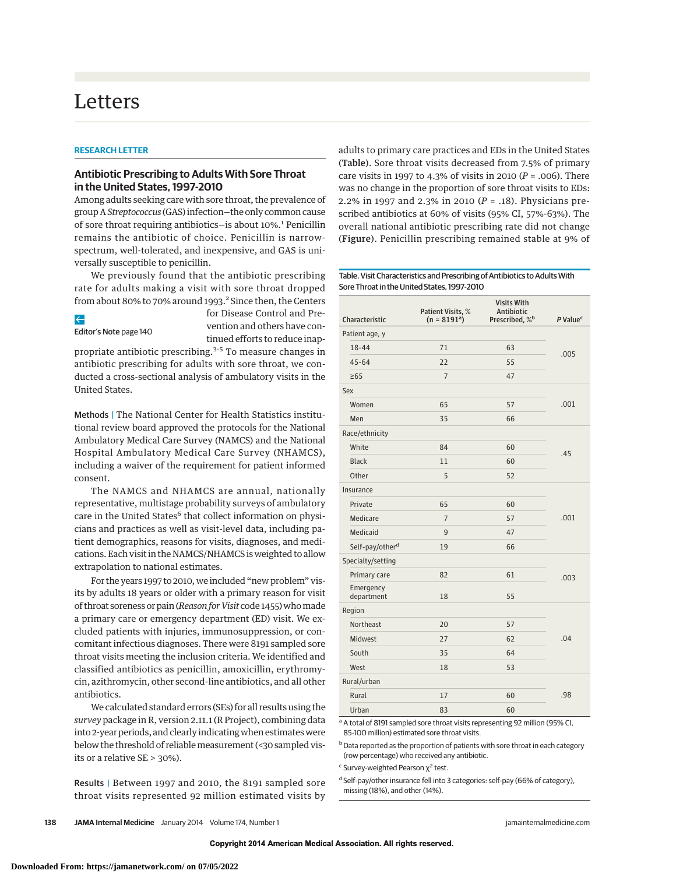# Letters

#### **RESEARCH LETTER**

## **Antibiotic Prescribing to Adults With Sore Throat in the United States, 1997-2010**

Among adults seeking care with sore throat, the prevalence of group A *Streptococcus* (GAS) infection—the only common cause of sore throat requiring antibiotics-is about 10%.<sup>1</sup> Penicillin remains the antibiotic of choice. Penicillin is narrowspectrum, well-tolerated, and inexpensive, and GAS is universally susceptible to penicillin.

We previously found that the antibiotic prescribing rate for adults making a visit with sore throat dropped from about 80% to 70% around 1993.<sup>2</sup> Since then, the Centers

 $\leftarrow$ 

Editor's Note page 140

for Disease Control and Prevention and others have continued efforts to reduce inap-

propriate antibiotic prescribing.<sup>3-5</sup> To measure changes in antibiotic prescribing for adults with sore throat, we conducted a cross-sectional analysis of ambulatory visits in the United States.

Methods | The National Center for Health Statistics institutional review board approved the protocols for the National Ambulatory Medical Care Survey (NAMCS) and the National Hospital Ambulatory Medical Care Survey (NHAMCS), including a waiver of the requirement for patient informed consent.

The NAMCS and NHAMCS are annual, nationally representative, multistage probability surveys of ambulatory care in the United States<sup>6</sup> that collect information on physicians and practices as well as visit-level data, including patient demographics, reasons for visits, diagnoses, and medications. Each visit in the NAMCS/NHAMCS is weighted to allow extrapolation to national estimates.

For the years 1997 to 2010, we included "new problem" visits by adults 18 years or older with a primary reason for visit of throat soreness or pain (*Reason for Visit* code 1455) who made a primary care or emergency department (ED) visit. We excluded patients with injuries, immunosuppression, or concomitant infectious diagnoses. There were 8191 sampled sore throat visits meeting the inclusion criteria. We identified and classified antibiotics as penicillin, amoxicillin, erythromycin, azithromycin, other second-line antibiotics, and all other antibiotics.

We calculated standard errors (SEs) for all results using the *survey* package in R, version 2.11.1 (R Project), combining data into 2-year periods, and clearly indicating when estimates were below the threshold of reliable measurement (<30 sampled visits or a relative SE > 30%).

Results | Between 1997 and 2010, the 8191 sampled sore throat visits represented 92 million estimated visits by

adults to primary care practices and EDs in the United States (Table). Sore throat visits decreased from 7.5% of primary care visits in 1997 to 4.3% of visits in 2010 (*P* = .006). There was no change in the proportion of sore throat visits to EDs: 2.2% in 1997 and 2.3% in 2010 (*P* = .18). Physicians prescribed antibiotics at 60% of visits (95% CI, 57%-63%). The overall national antibiotic prescribing rate did not change (Figure). Penicillin prescribing remained stable at 9% of

#### Table. Visit Characteristics and Prescribing of Antibiotics to Adults With Sore Throat in the United States, 1997-2010

| Characteristic              | Patient Visits, %<br>$(n = 8191a)$ | <b>Visits With</b><br>Antibiotic<br>Prescribed, % <sup>b</sup> | P Value <sup>c</sup> |
|-----------------------------|------------------------------------|----------------------------------------------------------------|----------------------|
| Patient age, y              |                                    |                                                                |                      |
| 18-44                       | 71                                 | 63                                                             | .005                 |
| $45 - 64$                   | 22                                 | 55                                                             |                      |
| $\geq 65$                   | $\overline{7}$                     | 47                                                             |                      |
| Sex                         |                                    |                                                                |                      |
| Women                       | 65                                 | 57                                                             | .001                 |
| Men                         | 35                                 | 66                                                             |                      |
| Race/ethnicity              |                                    |                                                                |                      |
| White                       | 84                                 | 60                                                             | .45                  |
| <b>Black</b>                | 11                                 | 60                                                             |                      |
| Other                       | 5                                  | 52                                                             |                      |
| Insurance                   |                                    |                                                                |                      |
| Private                     | 65                                 | 60                                                             | .001                 |
| Medicare                    | $\overline{7}$                     | 57                                                             |                      |
| Medicaid                    | 9                                  | 47                                                             |                      |
| Self-pay/other <sup>d</sup> | 19                                 | 66                                                             |                      |
| Specialty/setting           |                                    |                                                                |                      |
| Primary care                | 82                                 | 61                                                             | .003                 |
| Emergency<br>department     | 18                                 | 55                                                             |                      |
| Region                      |                                    |                                                                |                      |
| Northeast                   | 20                                 | 57                                                             | .04                  |
| Midwest                     | 27                                 | 62                                                             |                      |
| South                       | 35                                 | 64                                                             |                      |
| West                        | 18                                 | 53                                                             |                      |
| Rural/urban                 |                                    |                                                                |                      |
| Rural                       | 17                                 | 60                                                             | .98                  |
| Urban                       | 83                                 | 60                                                             |                      |

<sup>a</sup> A total of 8191 sampled sore throat visits representing 92 million (95% CI, 85-100 million) estimated sore throat visits.

b Data reported as the proportion of patients with sore throat in each category (row percentage) who received any antibiotic.

 $\epsilon$  Survey-weighted Pearson  $\chi^2$  test.

<sup>d</sup> Self-pay/other insurance fell into 3 categories: self-pay (66% of category), missing (18%), and other (14%).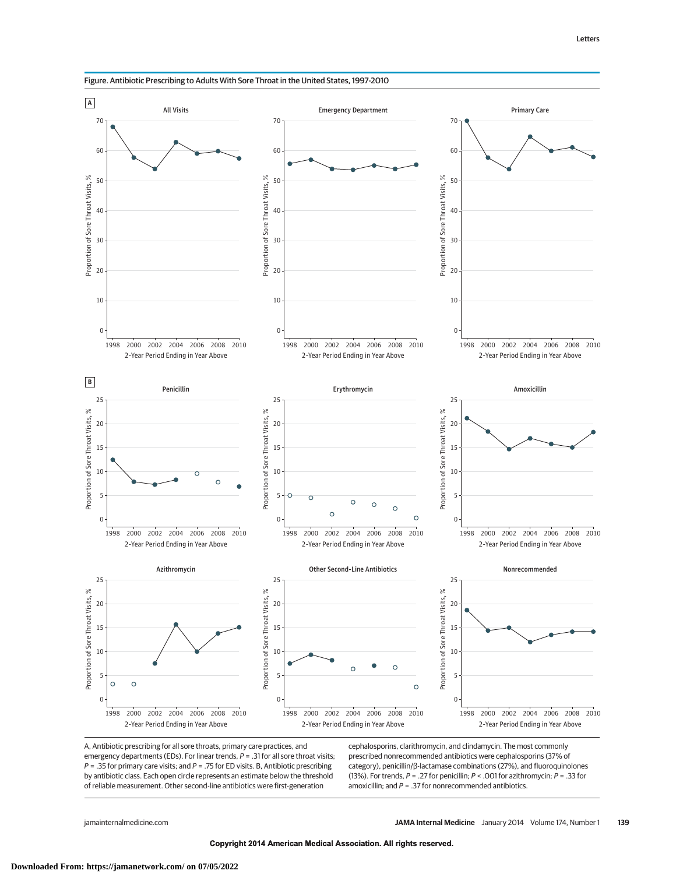



A, Antibiotic prescribing for all sore throats, primary care practices, and emergency departments (EDs). For linear trends,  $P = 0.31$  for all sore throat visits;  $P = 0.35$  for primary care visits; and  $P = 0.75$  for ED visits. B, Antibiotic prescribing by antibiotic class. Each open circle represents an estimate below the threshold of reliable measurement. Other second-line antibiotics were first-generation

cephalosporins, clarithromycin, and clindamycin. The most commonly prescribed nonrecommended antibiotics were cephalosporins (37% of category), penicillin/β-lactamase combinations (27%), and fluoroquinolones (13%). For trends,  $P = 0.27$  for penicillin;  $P < 0.001$  for azithromycin;  $P = 0.33$  for amoxicillin; and  $P = 0.37$  for nonrecommended antibiotics.